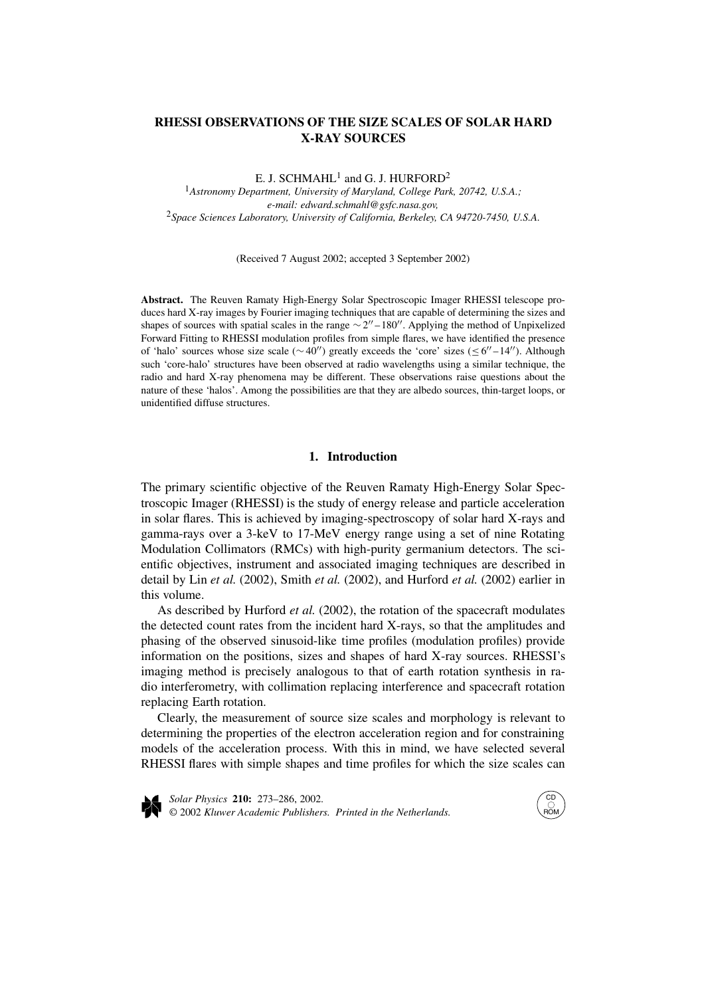# **RHESSI OBSERVATIONS OF THE SIZE SCALES OF SOLAR HARD X-RAY SOURCES**

E. J. SCHMAHL<sup>1</sup> and G. J. HURFORD<sup>2</sup>

<sup>1</sup>*Astronomy Department, University of Maryland, College Park, 20742, U.S.A.; e-mail: edward.schmahl@gsfc.nasa.gov,* <sup>2</sup>*Space Sciences Laboratory, University of California, Berkeley, CA 94720-7450, U.S.A.*

(Received 7 August 2002; accepted 3 September 2002)

**Abstract.** The Reuven Ramaty High-Energy Solar Spectroscopic Imager RHESSI telescope produces hard X-ray images by Fourier imaging techniques that are capable of determining the sizes and shapes of sources with spatial scales in the range  $\sim 2'' - 180''$ . Applying the method of Unpixelized Forward Fitting to RHESSI modulation profiles from simple flares, we have identified the presence of 'halo' sources whose size scale ( $\sim$  40'') greatly exceeds the 'core' sizes ( $\leq$  6''–14''). Although such 'core-halo' structures have been observed at radio wavelengths using a similar technique, the radio and hard X-ray phenomena may be different. These observations raise questions about the nature of these 'halos'. Among the possibilities are that they are albedo sources, thin-target loops, or unidentified diffuse structures.

### **1. Introduction**

The primary scientific objective of the Reuven Ramaty High-Energy Solar Spectroscopic Imager (RHESSI) is the study of energy release and particle acceleration in solar flares. This is achieved by imaging-spectroscopy of solar hard X-rays and gamma-rays over a 3-keV to 17-MeV energy range using a set of nine Rotating Modulation Collimators (RMCs) with high-purity germanium detectors. The scientific objectives, instrument and associated imaging techniques are described in detail by Lin *et al.* (2002), Smith *et al.* (2002), and Hurford *et al.* (2002) earlier in this volume.

As described by Hurford *et al.* (2002), the rotation of the spacecraft modulates the detected count rates from the incident hard X-rays, so that the amplitudes and phasing of the observed sinusoid-like time profiles (modulation profiles) provide information on the positions, sizes and shapes of hard X-ray sources. RHESSI's imaging method is precisely analogous to that of earth rotation synthesis in radio interferometry, with collimation replacing interference and spacecraft rotation replacing Earth rotation.

Clearly, the measurement of source size scales and morphology is relevant to determining the properties of the electron acceleration region and for constraining models of the acceleration process. With this in mind, we have selected several RHESSI flares with simple shapes and time profiles for which the size scales can



*Solar Physics* **210:** 273–286, 2002. © 2002 *Kluwer Academic Publishers. Printed in the Netherlands.*

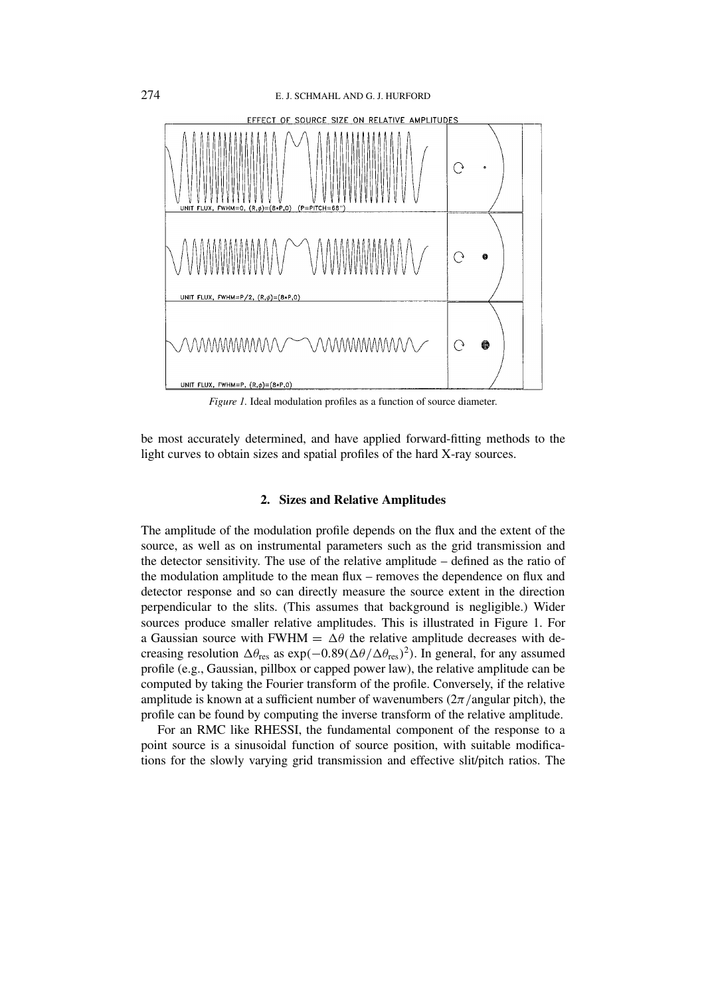

*Figure 1.* Ideal modulation profiles as a function of source diameter.

be most accurately determined, and have applied forward-fitting methods to the light curves to obtain sizes and spatial profiles of the hard X-ray sources.

# **2. Sizes and Relative Amplitudes**

The amplitude of the modulation profile depends on the flux and the extent of the source, as well as on instrumental parameters such as the grid transmission and the detector sensitivity. The use of the relative amplitude – defined as the ratio of the modulation amplitude to the mean flux – removes the dependence on flux and detector response and so can directly measure the source extent in the direction perpendicular to the slits. (This assumes that background is negligible.) Wider sources produce smaller relative amplitudes. This is illustrated in Figure 1. For a Gaussian source with FWHM =  $\Delta\theta$  the relative amplitude decreases with decreasing resolution  $\Delta\theta_{res}$  as exp $(-0.89(\Delta\theta/\Delta\theta_{res})^2)$ . In general, for any assumed profile (e.g., Gaussian, pillbox or capped power law), the relative amplitude can be computed by taking the Fourier transform of the profile. Conversely, if the relative amplitude is known at a sufficient number of wavenumbers  $(2\pi/a$ ngular pitch), the profile can be found by computing the inverse transform of the relative amplitude.

For an RMC like RHESSI, the fundamental component of the response to a point source is a sinusoidal function of source position, with suitable modifications for the slowly varying grid transmission and effective slit/pitch ratios. The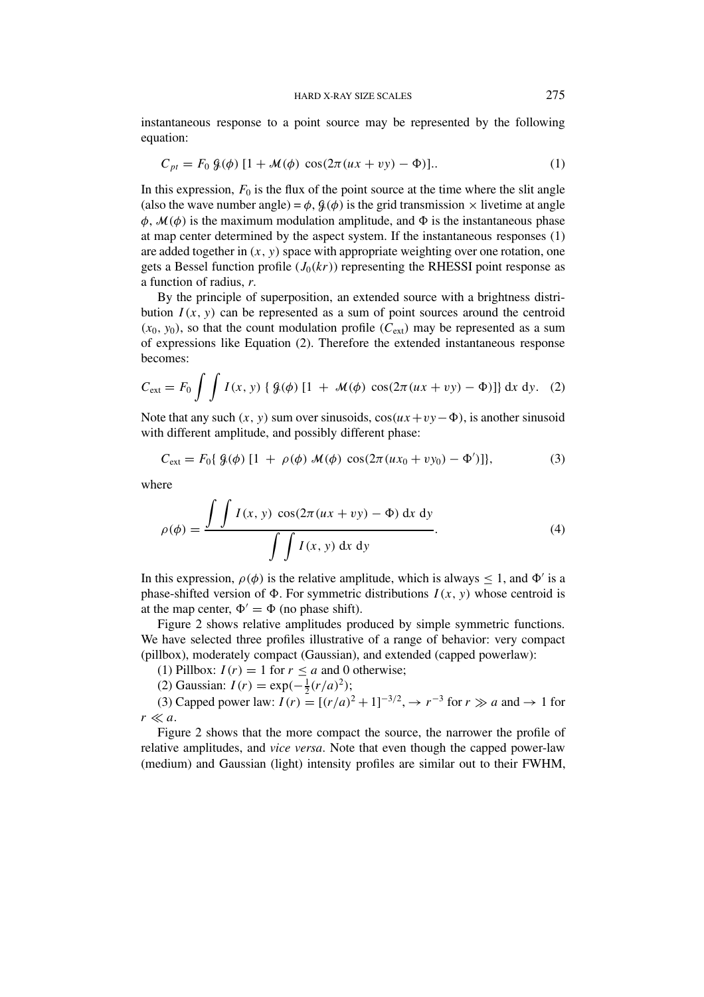instantaneous response to a point source may be represented by the following equation:

$$
C_{pt} = F_0 \mathcal{G}(\phi) [1 + \mathcal{M}(\phi) \cos(2\pi(ux + vy) - \Phi)]. \tag{1}
$$

In this expression,  $F_0$  is the flux of the point source at the time where the slit angle (also the wave number angle) =  $\phi$ ,  $\mathcal{G}(\phi)$  is the grid transmission  $\times$  livetime at angle  $\phi$ ,  $\mathcal{M}(\phi)$  is the maximum modulation amplitude, and  $\Phi$  is the instantaneous phase at map center determined by the aspect system. If the instantaneous responses (1) are added together in *(x, y)* space with appropriate weighting over one rotation, one gets a Bessel function profile  $(J_0(kr))$  representing the RHESSI point response as a function of radius, *r*.

By the principle of superposition, an extended source with a brightness distribution  $I(x, y)$  can be represented as a sum of point sources around the centroid  $(x_0, y_0)$ , so that the count modulation profile  $(C_{ext})$  may be represented as a sum of expressions like Equation (2). Therefore the extended instantaneous response becomes:

$$
C_{\text{ext}} = F_0 \int \int I(x, y) \{ \mathcal{G}(\phi) [1 + \mathcal{M}(\phi) \cos(2\pi(ux + vy) - \Phi)] \} dx dy. (2)
$$

Note that any such  $(x, y)$  sum over sinusoids,  $cos(u x + v y - \Phi)$ , is another sinusoid with different amplitude, and possibly different phase:

$$
C_{\text{ext}} = F_0\{\mathcal{G}(\phi) [1 + \rho(\phi) \mathcal{M}(\phi) \cos(2\pi (ux_0 + vy_0) - \Phi')] \},\tag{3}
$$

where

$$
\rho(\phi) = \frac{\int \int I(x, y) \cos(2\pi(ux + vy) - \Phi) dx dy}{\int \int I(x, y) dx dy}.
$$
\n(4)

In this expression,  $\rho(\phi)$  is the relative amplitude, which is always  $\leq 1$ , and  $\Phi'$  is a phase-shifted version of  $\Phi$ . For symmetric distributions  $I(x, y)$  whose centroid is at the map center,  $\Phi' = \Phi$  (no phase shift).

Figure 2 shows relative amplitudes produced by simple symmetric functions. We have selected three profiles illustrative of a range of behavior: very compact (pillbox), moderately compact (Gaussian), and extended (capped powerlaw):

(1) Pillbox:  $I(r) = 1$  for  $r \le a$  and 0 otherwise;

(2) Gaussian:  $I(r) = \exp(-\frac{1}{2}(r/a)^2)$ ;

(3) Capped power law:  $I(r) = [(r/a)^2 + 1]^{-3/2}, \rightarrow r^{-3}$  for  $r \gg a$  and  $\rightarrow 1$  for  $r \ll a$ .

Figure 2 shows that the more compact the source, the narrower the profile of relative amplitudes, and *vice versa*. Note that even though the capped power-law (medium) and Gaussian (light) intensity profiles are similar out to their FWHM,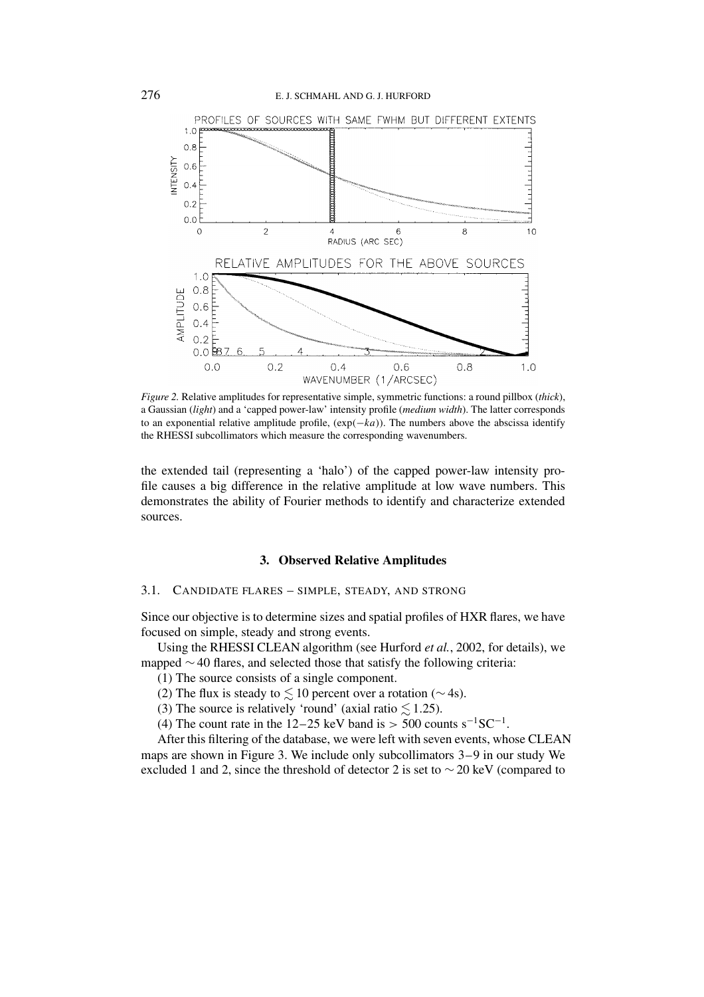

*Figure 2.* Relative amplitudes for representative simple, symmetric functions: a round pillbox (*thick*), a Gaussian (*light*) and a 'capped power-law' intensity profile (*medium width*). The latter corresponds to an exponential relative amplitude profile, (exp*(*−*ka)*). The numbers above the abscissa identify the RHESSI subcollimators which measure the corresponding wavenumbers.

the extended tail (representing a 'halo') of the capped power-law intensity profile causes a big difference in the relative amplitude at low wave numbers. This demonstrates the ability of Fourier methods to identify and characterize extended sources.

#### **3. Observed Relative Amplitudes**

#### 3.1. CANDIDATE FLARES – SIMPLE, STEADY, AND STRONG

Since our objective is to determine sizes and spatial profiles of HXR flares, we have focused on simple, steady and strong events.

Using the RHESSI CLEAN algorithm (see Hurford *et al.*, 2002, for details), we mapped ∼ 40 flares, and selected those that satisfy the following criteria:

(1) The source consists of a single component.

(2) The flux is steady to  $\leq 10$  percent over a rotation (∼ 4s).

(3) The source is relatively 'round' (axial ratio  $\lesssim$  1.25).

(4) The count rate in the 12–25 keV band is  $> 500$  counts s<sup>-1</sup>SC<sup>-1</sup>.

After this filtering of the database, we were left with seven events, whose CLEAN maps are shown in Figure 3. We include only subcollimators 3–9 in our study We excluded 1 and 2, since the threshold of detector 2 is set to  $\sim$  20 keV (compared to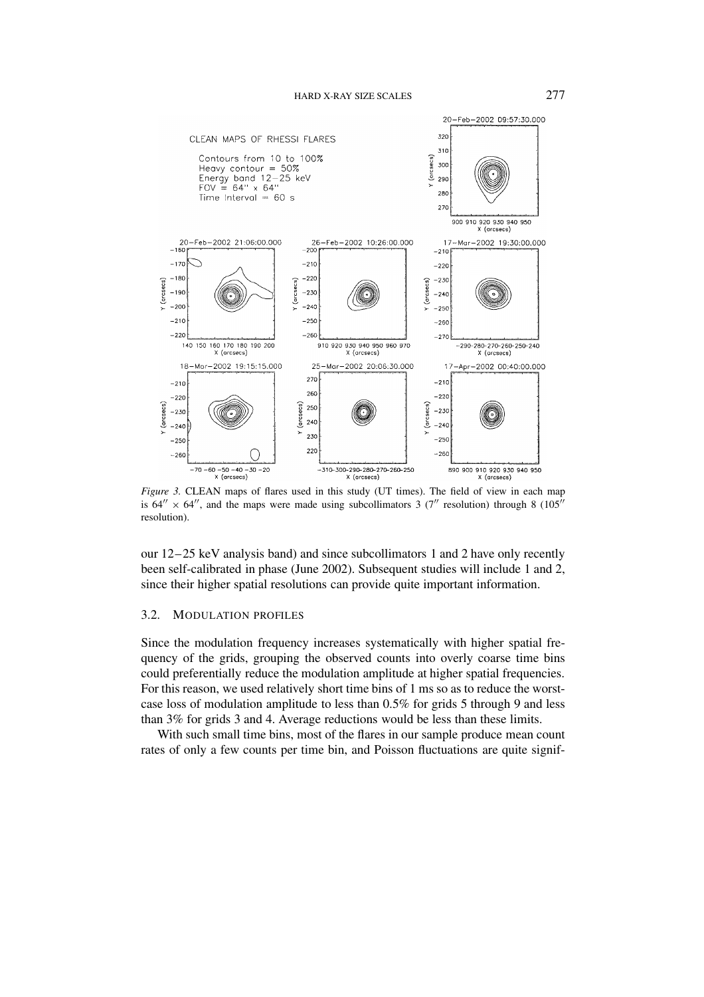

*Figure 3.* CLEAN maps of flares used in this study (UT times). The field of view in each map is 64"  $\times$  64", and the maps were made using subcollimators 3 (7" resolution) through 8 (105" resolution).

our 12–25 keV analysis band) and since subcollimators 1 and 2 have only recently been self-calibrated in phase (June 2002). Subsequent studies will include 1 and 2, since their higher spatial resolutions can provide quite important information.

## 3.2. MODULATION PROFILES

Since the modulation frequency increases systematically with higher spatial frequency of the grids, grouping the observed counts into overly coarse time bins could preferentially reduce the modulation amplitude at higher spatial frequencies. For this reason, we used relatively short time bins of 1 ms so as to reduce the worstcase loss of modulation amplitude to less than 0.5% for grids 5 through 9 and less than 3% for grids 3 and 4. Average reductions would be less than these limits.

With such small time bins, most of the flares in our sample produce mean count rates of only a few counts per time bin, and Poisson fluctuations are quite signif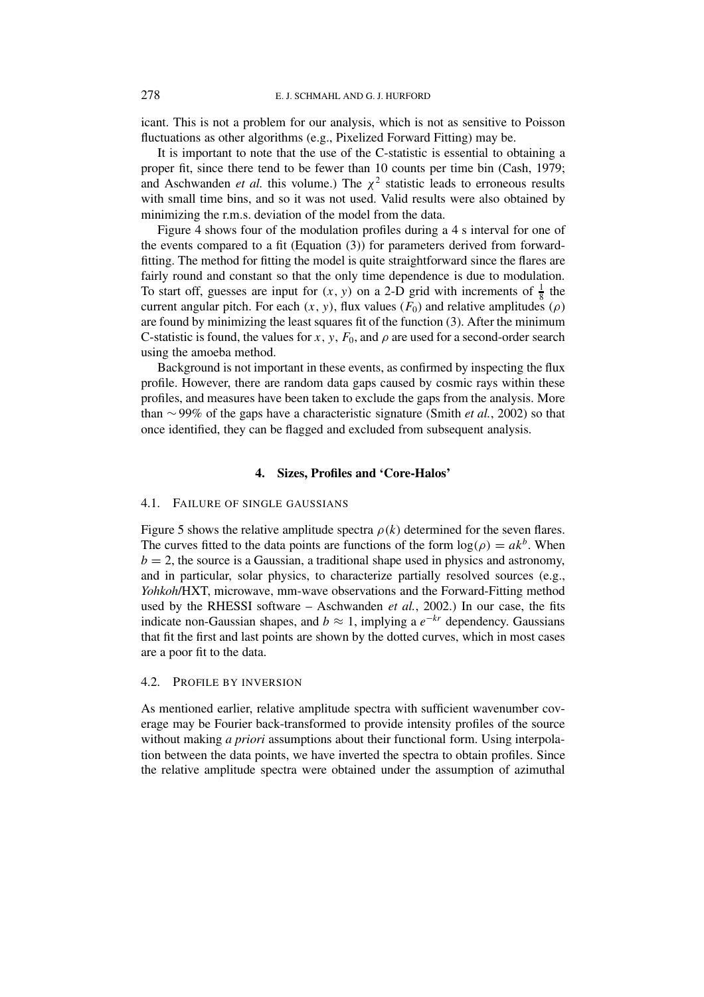icant. This is not a problem for our analysis, which is not as sensitive to Poisson fluctuations as other algorithms (e.g., Pixelized Forward Fitting) may be.

It is important to note that the use of the C-statistic is essential to obtaining a proper fit, since there tend to be fewer than 10 counts per time bin (Cash, 1979; and Aschwanden *et al.* this volume.) The  $\chi^2$  statistic leads to erroneous results with small time bins, and so it was not used. Valid results were also obtained by minimizing the r.m.s. deviation of the model from the data.

Figure 4 shows four of the modulation profiles during a 4 s interval for one of the events compared to a fit (Equation (3)) for parameters derived from forwardfitting. The method for fitting the model is quite straightforward since the flares are fairly round and constant so that the only time dependence is due to modulation. To start off, guesses are input for  $(x, y)$  on a 2-D grid with increments of  $\frac{1}{8}$  the current angular pitch. For each  $(x, y)$ , flux values  $(F_0)$  and relative amplitudes  $(\rho)$ are found by minimizing the least squares fit of the function (3). After the minimum C-statistic is found, the values for *x*, *y*,  $F_0$ , and  $\rho$  are used for a second-order search using the amoeba method.

Background is not important in these events, as confirmed by inspecting the flux profile. However, there are random data gaps caused by cosmic rays within these profiles, and measures have been taken to exclude the gaps from the analysis. More than ∼ 99% of the gaps have a characteristic signature (Smith *et al.*, 2002) so that once identified, they can be flagged and excluded from subsequent analysis.

#### **4. Sizes, Profiles and 'Core-Halos'**

### 4.1. FAILURE OF SINGLE GAUSSIANS

Figure 5 shows the relative amplitude spectra  $\rho(k)$  determined for the seven flares. The curves fitted to the data points are functions of the form  $log(\rho) = ak^b$ . When  $b = 2$ , the source is a Gaussian, a traditional shape used in physics and astronomy, and in particular, solar physics, to characterize partially resolved sources (e.g., *Yohkoh*/HXT, microwave, mm-wave observations and the Forward-Fitting method used by the RHESSI software – Aschwanden *et al.*, 2002.) In our case, the fits indicate non-Gaussian shapes, and *b* ≈ 1, implying a  $e^{-kr}$  dependency. Gaussians that fit the first and last points are shown by the dotted curves, which in most cases are a poor fit to the data.

### 4.2. PROFILE BY INVERSION

As mentioned earlier, relative amplitude spectra with sufficient wavenumber coverage may be Fourier back-transformed to provide intensity profiles of the source without making *a priori* assumptions about their functional form. Using interpolation between the data points, we have inverted the spectra to obtain profiles. Since the relative amplitude spectra were obtained under the assumption of azimuthal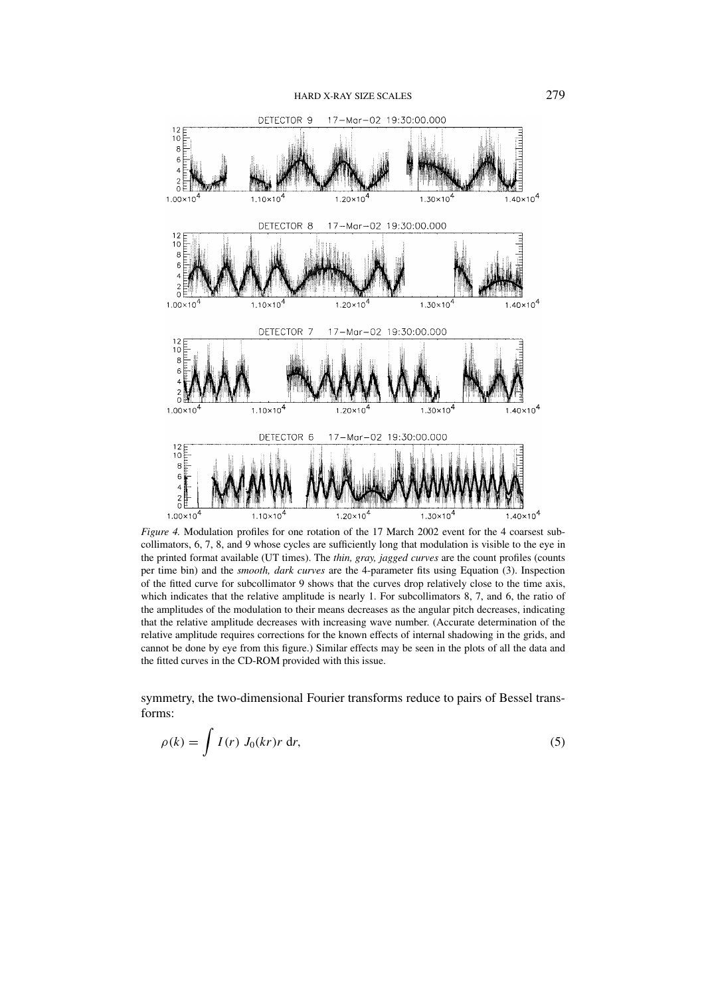

*Figure 4.* Modulation profiles for one rotation of the 17 March 2002 event for the 4 coarsest subcollimators, 6, 7, 8, and 9 whose cycles are sufficiently long that modulation is visible to the eye in the printed format available (UT times). The *thin, gray, jagged curves* are the count profiles (counts per time bin) and the *smooth, dark curves* are the 4-parameter fits using Equation (3). Inspection of the fitted curve for subcollimator 9 shows that the curves drop relatively close to the time axis, which indicates that the relative amplitude is nearly 1. For subcollimators 8, 7, and 6, the ratio of the amplitudes of the modulation to their means decreases as the angular pitch decreases, indicating that the relative amplitude decreases with increasing wave number. (Accurate determination of the relative amplitude requires corrections for the known effects of internal shadowing in the grids, and cannot be done by eye from this figure.) Similar effects may be seen in the plots of all the data and the fitted curves in the CD-ROM provided with this issue.

symmetry, the two-dimensional Fourier transforms reduce to pairs of Bessel transforms:

$$
\rho(k) = \int I(r) J_0(kr)r \, dr,\tag{5}
$$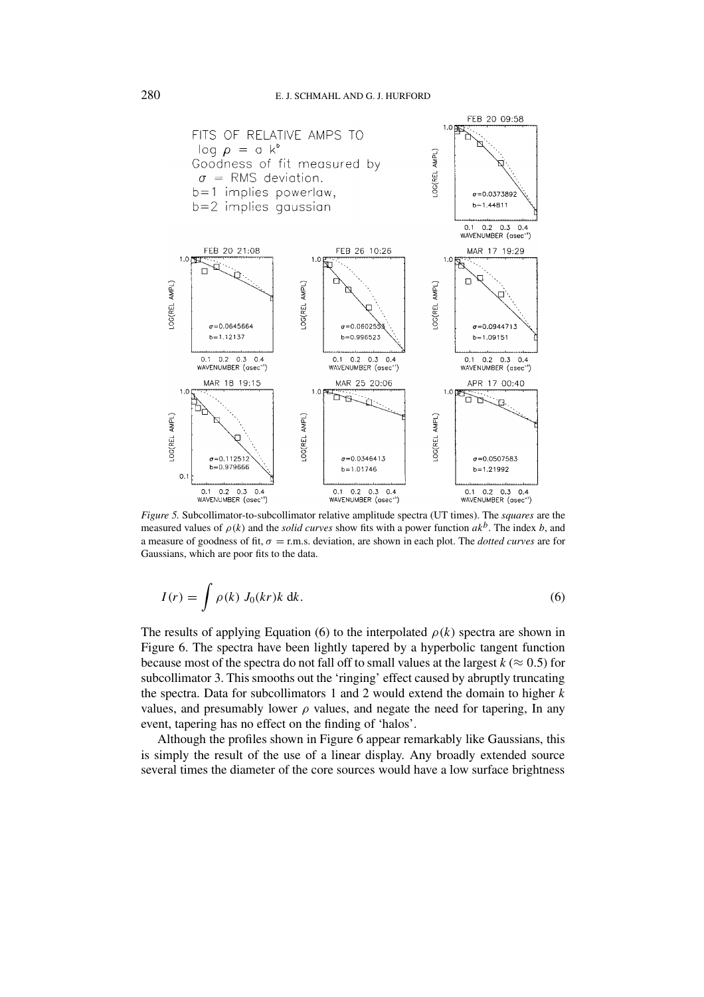

*Figure 5.* Subcollimator-to-subcollimator relative amplitude spectra (UT times). The *squares* are the measured values of  $\rho(k)$  and the *solid curves* show fits with a power function  $ak^b$ . The index *b*, and a measure of goodness of fit,  $\sigma =$  r.m.s. deviation, are shown in each plot. The *dotted curves* are for Gaussians, which are poor fits to the data.

$$
I(r) = \int \rho(k) J_0(kr)k \, dk. \tag{6}
$$

The results of applying Equation (6) to the interpolated  $\rho(k)$  spectra are shown in Figure 6. The spectra have been lightly tapered by a hyperbolic tangent function because most of the spectra do not fall off to small values at the largest  $k \approx 0.5$  for subcollimator 3. This smooths out the 'ringing' effect caused by abruptly truncating the spectra. Data for subcollimators 1 and 2 would extend the domain to higher *k* values, and presumably lower  $\rho$  values, and negate the need for tapering, In any event, tapering has no effect on the finding of 'halos'.

Although the profiles shown in Figure 6 appear remarkably like Gaussians, this is simply the result of the use of a linear display. Any broadly extended source several times the diameter of the core sources would have a low surface brightness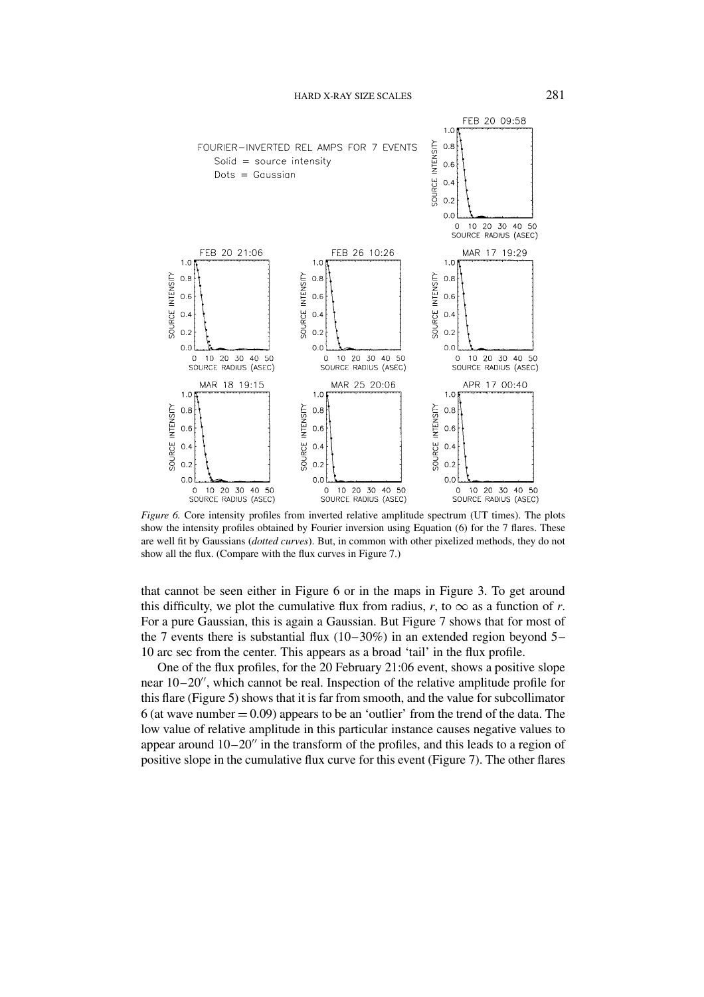

*Figure 6.* Core intensity profiles from inverted relative amplitude spectrum (UT times). The plots show the intensity profiles obtained by Fourier inversion using Equation (6) for the 7 flares. These are well fit by Gaussians (*dotted curves*). But, in common with other pixelized methods, they do not show all the flux. (Compare with the flux curves in Figure 7.)

that cannot be seen either in Figure 6 or in the maps in Figure 3. To get around this difficulty, we plot the cumulative flux from radius, *r*, to  $\infty$  as a function of *r*. For a pure Gaussian, this is again a Gaussian. But Figure 7 shows that for most of the 7 events there is substantial flux  $(10-30\%)$  in an extended region beyond 5– 10 arc sec from the center. This appears as a broad 'tail' in the flux profile.

One of the flux profiles, for the 20 February 21:06 event, shows a positive slope near 10-20", which cannot be real. Inspection of the relative amplitude profile for this flare (Figure 5) shows that it is far from smooth, and the value for subcollimator 6 (at wave number  $= 0.09$ ) appears to be an 'outlier' from the trend of the data. The low value of relative amplitude in this particular instance causes negative values to appear around  $10-20$ " in the transform of the profiles, and this leads to a region of positive slope in the cumulative flux curve for this event (Figure 7). The other flares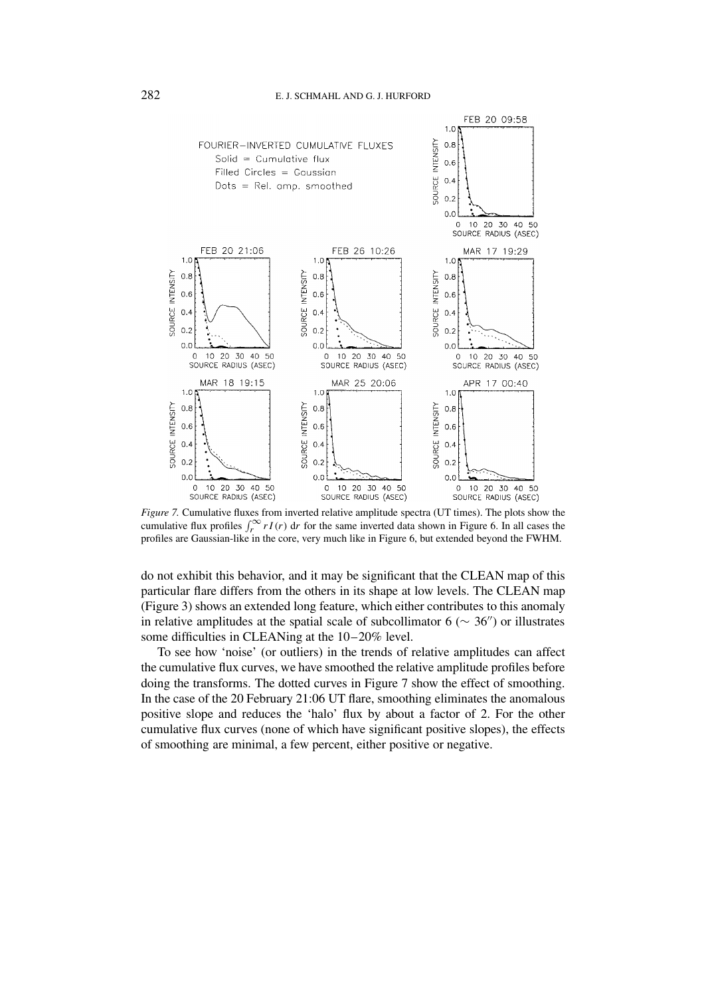

*Figure 7.* Cumulative fluxes from inverted relative amplitude spectra (UT times). The plots show the cumulative flux profiles  $\int_{r}^{\infty} r I(r) dr$  for the same inverted data shown in Figure 6. In all cases the profiles are Gaussian-like in the core, very much like in Figure 6, but extended beyond the FWHM.

do not exhibit this behavior, and it may be significant that the CLEAN map of this particular flare differs from the others in its shape at low levels. The CLEAN map (Figure 3) shows an extended long feature, which either contributes to this anomaly in relative amplitudes at the spatial scale of subcollimator 6 ( $\sim$  36") or illustrates some difficulties in CLEANing at the 10–20% level.

To see how 'noise' (or outliers) in the trends of relative amplitudes can affect the cumulative flux curves, we have smoothed the relative amplitude profiles before doing the transforms. The dotted curves in Figure 7 show the effect of smoothing. In the case of the 20 February 21:06 UT flare, smoothing eliminates the anomalous positive slope and reduces the 'halo' flux by about a factor of 2. For the other cumulative flux curves (none of which have significant positive slopes), the effects of smoothing are minimal, a few percent, either positive or negative.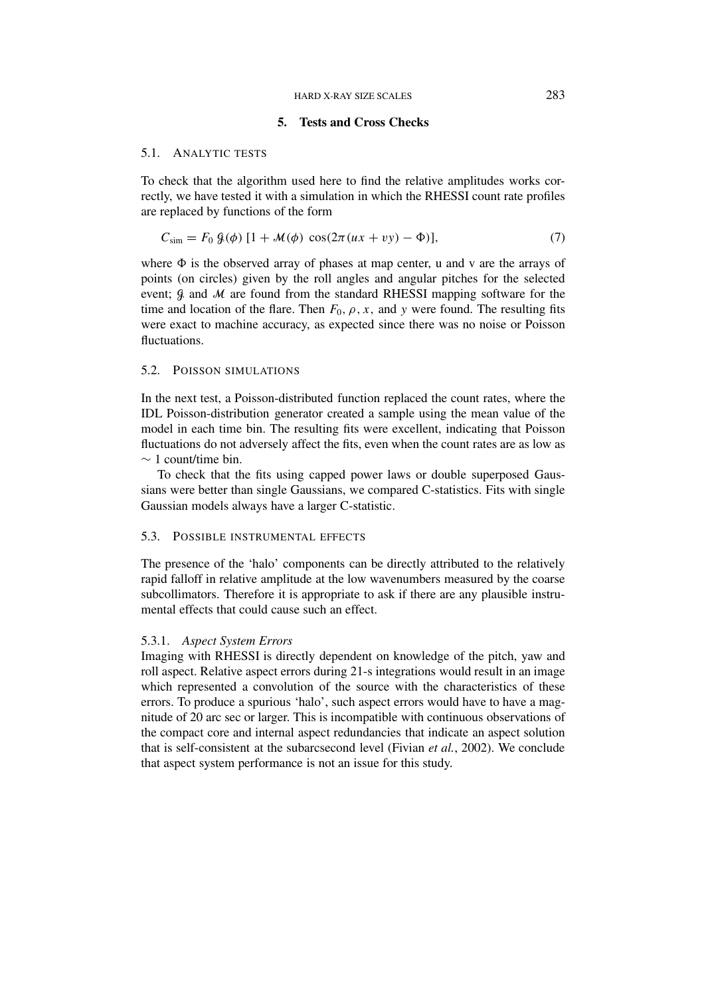## **5. Tests and Cross Checks**

#### 5.1. ANALYTIC TESTS

To check that the algorithm used here to find the relative amplitudes works correctly, we have tested it with a simulation in which the RHESSI count rate profiles are replaced by functions of the form

$$
C_{\text{sim}} = F_0 \mathcal{G}(\phi) \left[ 1 + \mathcal{M}(\phi) \cos(2\pi (ux + vy) - \Phi) \right],\tag{7}
$$

where  $\Phi$  is the observed array of phases at map center, u and v are the arrays of points (on circles) given by the roll angles and angular pitches for the selected event;  $\beta$  and  $\mathcal M$  are found from the standard RHESSI mapping software for the time and location of the flare. Then  $F_0$ ,  $\rho$ , x, and y were found. The resulting fits were exact to machine accuracy, as expected since there was no noise or Poisson fluctuations.

### 5.2. POISSON SIMULATIONS

In the next test, a Poisson-distributed function replaced the count rates, where the IDL Poisson-distribution generator created a sample using the mean value of the model in each time bin. The resulting fits were excellent, indicating that Poisson fluctuations do not adversely affect the fits, even when the count rates are as low as  $\sim$  1 count/time bin.

To check that the fits using capped power laws or double superposed Gaussians were better than single Gaussians, we compared C-statistics. Fits with single Gaussian models always have a larger C-statistic.

### 5.3. POSSIBLE INSTRUMENTAL EFFECTS

The presence of the 'halo' components can be directly attributed to the relatively rapid falloff in relative amplitude at the low wavenumbers measured by the coarse subcollimators. Therefore it is appropriate to ask if there are any plausible instrumental effects that could cause such an effect.

#### 5.3.1. *Aspect System Errors*

Imaging with RHESSI is directly dependent on knowledge of the pitch, yaw and roll aspect. Relative aspect errors during 21-s integrations would result in an image which represented a convolution of the source with the characteristics of these errors. To produce a spurious 'halo', such aspect errors would have to have a magnitude of 20 arc sec or larger. This is incompatible with continuous observations of the compact core and internal aspect redundancies that indicate an aspect solution that is self-consistent at the subarcsecond level (Fivian *et al.*, 2002). We conclude that aspect system performance is not an issue for this study.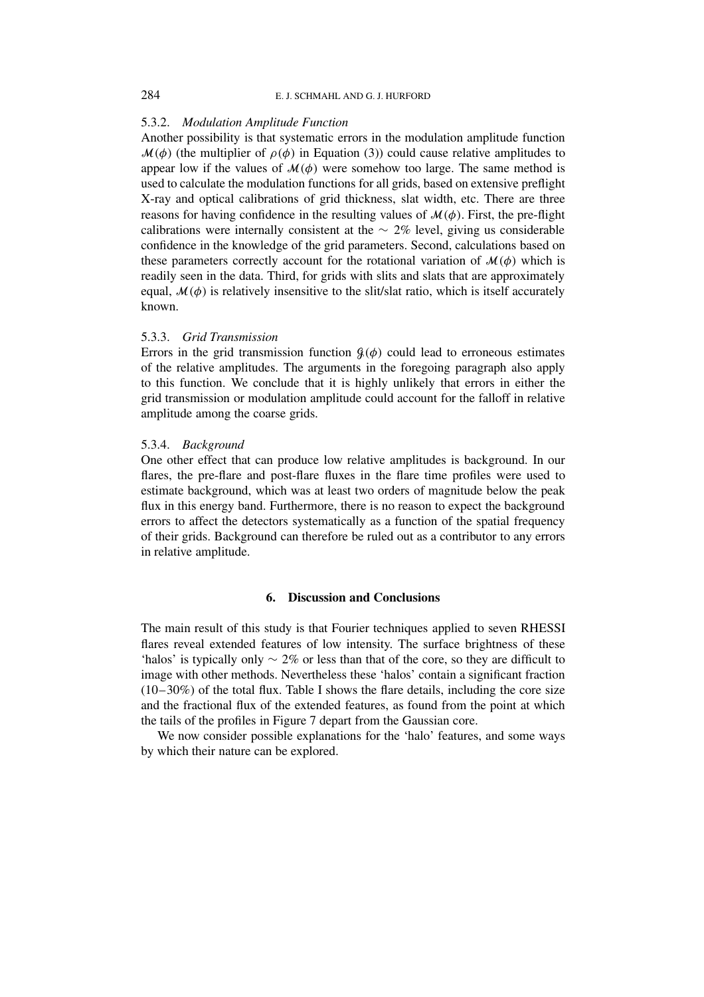### 5.3.2. *Modulation Amplitude Function*

Another possibility is that systematic errors in the modulation amplitude function  $\mathcal{M}(\phi)$  (the multiplier of  $\rho(\phi)$  in Equation (3)) could cause relative amplitudes to appear low if the values of  $M(\phi)$  were somehow too large. The same method is used to calculate the modulation functions for all grids, based on extensive preflight X-ray and optical calibrations of grid thickness, slat width, etc. There are three reasons for having confidence in the resulting values of M*(φ)*. First, the pre-flight calibrations were internally consistent at the  $\sim 2\%$  level, giving us considerable confidence in the knowledge of the grid parameters. Second, calculations based on these parameters correctly account for the rotational variation of  $\mathcal{M}(\phi)$  which is readily seen in the data. Third, for grids with slits and slats that are approximately equal,  $M(\phi)$  is relatively insensitive to the slit/slat ratio, which is itself accurately known.

## 5.3.3. *Grid Transmission*

Errors in the grid transmission function  $\mathcal{G}(\phi)$  could lead to erroneous estimates of the relative amplitudes. The arguments in the foregoing paragraph also apply to this function. We conclude that it is highly unlikely that errors in either the grid transmission or modulation amplitude could account for the falloff in relative amplitude among the coarse grids.

#### 5.3.4. *Background*

One other effect that can produce low relative amplitudes is background. In our flares, the pre-flare and post-flare fluxes in the flare time profiles were used to estimate background, which was at least two orders of magnitude below the peak flux in this energy band. Furthermore, there is no reason to expect the background errors to affect the detectors systematically as a function of the spatial frequency of their grids. Background can therefore be ruled out as a contributor to any errors in relative amplitude.

#### **6. Discussion and Conclusions**

The main result of this study is that Fourier techniques applied to seven RHESSI flares reveal extended features of low intensity. The surface brightness of these 'halos' is typically only  $\sim$  2% or less than that of the core, so they are difficult to image with other methods. Nevertheless these 'halos' contain a significant fraction (10–30%) of the total flux. Table I shows the flare details, including the core size and the fractional flux of the extended features, as found from the point at which the tails of the profiles in Figure 7 depart from the Gaussian core.

We now consider possible explanations for the 'halo' features, and some ways by which their nature can be explored.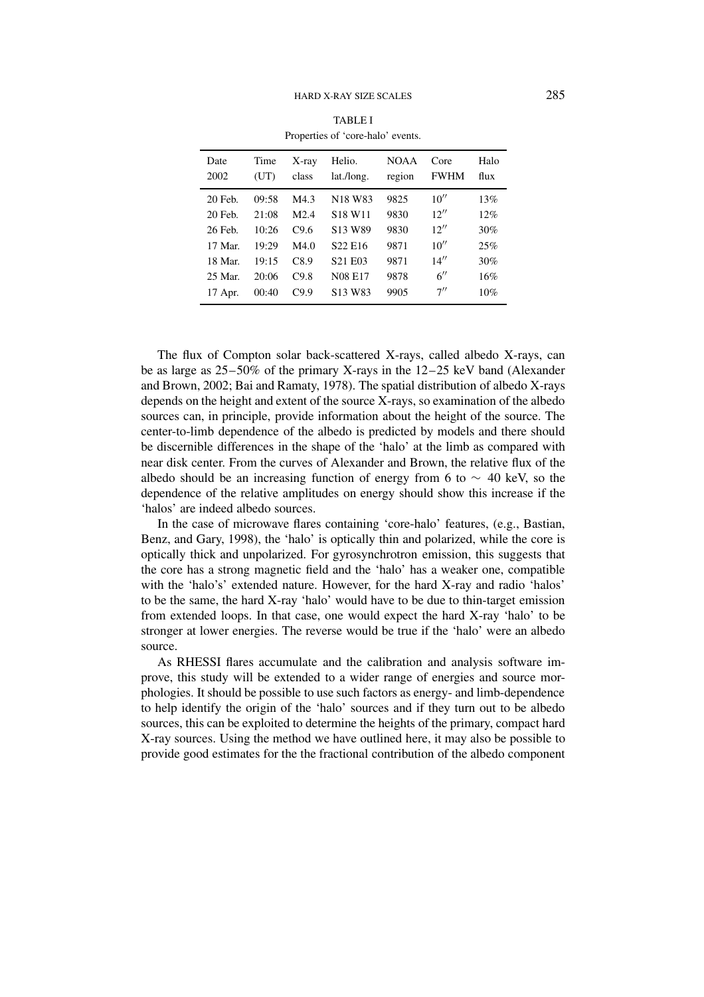| Date<br>2002 | Time<br>(UT) | X-ray<br>class | Helio.<br>lat./long.            | <b>NOAA</b><br>region | Core<br><b>FWHM</b> | Halo<br>flux |
|--------------|--------------|----------------|---------------------------------|-----------------------|---------------------|--------------|
| 20 Feb.      | 09:58        | M4.3           | N <sub>18</sub> W <sub>83</sub> | 9825                  | 10''                | 13%          |
| 20 Feb.      | 21:08        | M2.4           | S <sub>18</sub> W <sub>11</sub> | 9830                  | 12''                | 12%          |
| 26 Feb.      | 10:26        | C9.6           | S <sub>13</sub> W <sub>89</sub> | 9830                  | 12''                | 30%          |
| 17 Mar.      | 19:29        | M4.0           | S <sub>22</sub> E <sub>16</sub> | 9871                  | 10''                | 25%          |
| 18 Mar.      | 19:15        | C8.9           | S <sub>21</sub> E <sub>03</sub> | 9871                  | 14''                | 30%          |
| 25 Mar.      | 20:06        | C9.8           | N08 E17                         | 9878                  | $6^{\prime\prime}$  | 16%          |
| 17 Apr.      | 00:40        | C9.9           | S <sub>13</sub> W <sub>83</sub> | 9905                  | 7''                 | 10%          |

TABLE I Properties of 'core-halo' events.

The flux of Compton solar back-scattered X-rays, called albedo X-rays, can be as large as 25–50% of the primary X-rays in the 12–25 keV band (Alexander and Brown, 2002; Bai and Ramaty, 1978). The spatial distribution of albedo X-rays depends on the height and extent of the source X-rays, so examination of the albedo sources can, in principle, provide information about the height of the source. The center-to-limb dependence of the albedo is predicted by models and there should be discernible differences in the shape of the 'halo' at the limb as compared with near disk center. From the curves of Alexander and Brown, the relative flux of the albedo should be an increasing function of energy from 6 to  $\sim$  40 keV, so the dependence of the relative amplitudes on energy should show this increase if the 'halos' are indeed albedo sources.

In the case of microwave flares containing 'core-halo' features, (e.g., Bastian, Benz, and Gary, 1998), the 'halo' is optically thin and polarized, while the core is optically thick and unpolarized. For gyrosynchrotron emission, this suggests that the core has a strong magnetic field and the 'halo' has a weaker one, compatible with the 'halo's' extended nature. However, for the hard X-ray and radio 'halos' to be the same, the hard X-ray 'halo' would have to be due to thin-target emission from extended loops. In that case, one would expect the hard X-ray 'halo' to be stronger at lower energies. The reverse would be true if the 'halo' were an albedo source.

As RHESSI flares accumulate and the calibration and analysis software improve, this study will be extended to a wider range of energies and source morphologies. It should be possible to use such factors as energy- and limb-dependence to help identify the origin of the 'halo' sources and if they turn out to be albedo sources, this can be exploited to determine the heights of the primary, compact hard X-ray sources. Using the method we have outlined here, it may also be possible to provide good estimates for the the fractional contribution of the albedo component